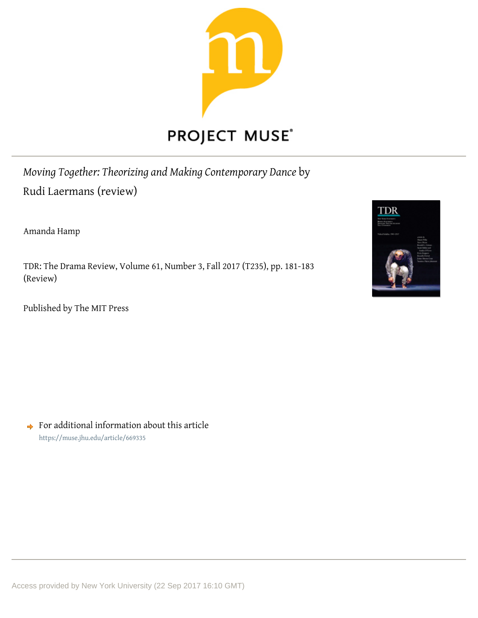

## PROJECT MUSE®

*Moving Together: Theorizing and Making Contemporary Dance* by Rudi Laermans (review)

Amanda Hamp

TDR: The Drama Review, Volume 61, Number 3, Fall 2017 (T235), pp. 181-183 (Review)

Published by The MIT Press



 $\rightarrow$  For additional information about this article <https://muse.jhu.edu/article/669335>

Access provided by New York University (22 Sep 2017 16:10 GMT)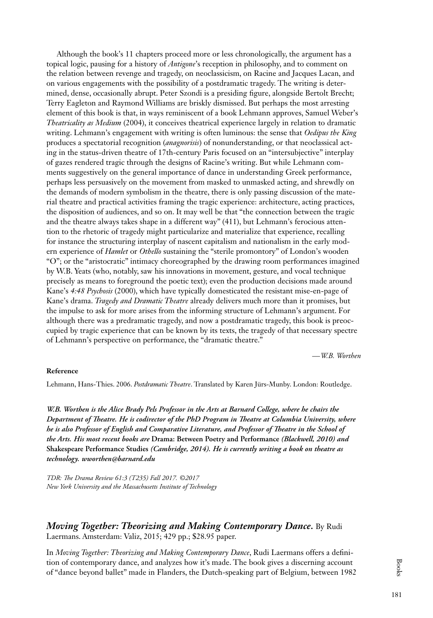Although the book's 11 chapters proceed more or less chronologically, the argument has a topical logic, pausing for a history of *Antigone*'s reception in philosophy, and to comment on the relation between revenge and tragedy, on neoclassicism, on Racine and Jacques Lacan, and on various engagements with the possibility of a postdramatic tragedy. The writing is determined, dense, occasionally abrupt. Peter Szondi is a presiding figure, alongside Bertolt Brecht; Terry Eagleton and Raymond Williams are briskly dismissed. But perhaps the most arresting element of this book is that, in ways reminiscent of a book Lehmann approves, Samuel Weber's *Theatricality as Medium* (2004), it conceives theatrical experience largely in relation to dramatic writing. Lehmann's engagement with writing is often luminous: the sense that *Oedipus the King* produces a spectatorial recognition (*anagnorisis*) of nonunderstanding, or that neoclassical acting in the status-driven theatre of 17th-century Paris focused on an "intersubjective" interplay of gazes rendered tragic through the designs of Racine's writing. But while Lehmann comments suggestively on the general importance of dance in understanding Greek performance, perhaps less persuasively on the movement from masked to unmasked acting, and shrewdly on the demands of modern symbolism in the theatre, there is only passing discussion of the material theatre and practical activities framing the tragic experience: architecture, acting practices, the disposition of audiences, and so on. It may well be that "the connection between the tragic and the theatre always takes shape in a different way" (411), but Lehmann's ferocious attention to the rhetoric of tragedy might particularize and materialize that experience, recalling for instance the structuring interplay of nascent capitalism and nationalism in the early modern experience of *Hamlet* or *Othello* sustaining the "sterile promontory" of London's wooden "O"; or the "aristocratic" intimacy choreographed by the drawing room performances imagined by W.B. Yeats (who, notably, saw his innovations in movement, gesture, and vocal technique precisely as means to foreground the poetic text); even the production decisions made around Kane's *4:48 Psychosis* (2000), which have typically domesticated the resistant mise-en-page of Kane's drama. *Tragedy and Dramatic Theatre* already delivers much more than it promises, but the impulse to ask for more arises from the informing structure of Lehmann's argument. For although there was a predramatic tragedy, and now a postdramatic tragedy, this book is preoccupied by tragic experience that can be known by its texts, the tragedy of that necessary spectre of Lehmann's perspective on performance, the "dramatic theatre."

*—W.B. Worthen*

## **Reference**

Lehmann, Hans-Thies. 2006. *Postdramatic Theatre*. Translated by Karen Jürs-Munby. London: Routledge.

*W.B. Worthen is the Alice Brady Pels Professor in the Arts at Barnard College, where he chairs the Department of Theatre. He is codirector of the PhD Program in Theatre at Columbia University, where he is also Professor of English and Comparative Literature, and Professor of Theatre in the School of the Arts. His most recent books are* **Drama: Between Poetry and Performance** *(Blackwell, 2010) and*  **Shakespeare Performance Studies** *(Cambridge, 2014). He is currently writing a book on theatre as technology. wworthen@barnard.edu*

*TDR: The Drama Review 61:3 (T235) Fall 2017. ©2017 New York University and the Massachusetts Institute of Technology*

*Moving Together: Theorizing and Making Contemporary Dance.* By Rudi Laermans. Amsterdam: Valiz, 2015; 429 pp.; \$28.95 paper.

In *Moving Together: Theorizing and Making Contemporary Dance*, Rudi Laermans offers a definition of contemporary dance, and analyzes how it's made. The book gives a discerning account of "dance beyond ballet" made in Flanders, the Dutch-speaking part of Belgium, between 1982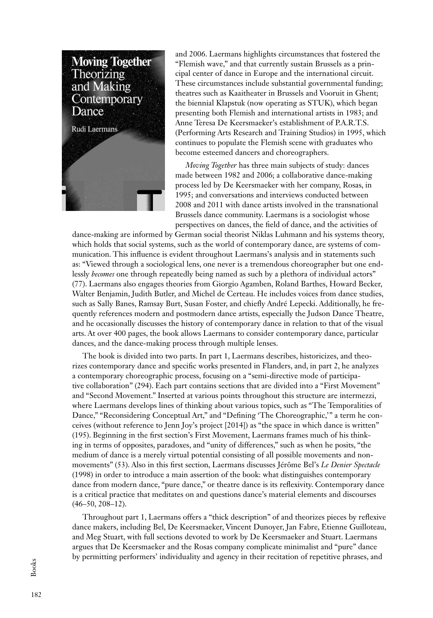

and 2006. Laermans highlights circumstances that fostered the "Flemish wave," and that currently sustain Brussels as a principal center of dance in Europe and the international circuit. These circumstances include substantial governmental funding; theatres such as Kaaitheater in Brussels and Vooruit in Ghent; the biennial Klapstuk (now operating as STUK), which began presenting both Flemish and international artists in 1983; and Anne Teresa De Keersmaeker's establishment of P.A.R.T.S. (Performing Arts Research and Training Studios) in 1995, which continues to populate the Flemish scene with graduates who become esteemed dancers and choreographers.

*Moving Together* has three main subjects of study: dances made between 1982 and 2006; a collaborative dance-making process led by De Keersmaeker with her company, Rosas, in 1995; and conversations and interviews conducted between 2008 and 2011 with dance artists involved in the transnational Brussels dance community. Laermans is a sociologist whose perspectives on dances, the field of dance, and the activities of

dance-making are informed by German social theorist Niklas Luhmann and his systems theory, which holds that social systems, such as the world of contemporary dance, are systems of communication. This influence is evident throughout Laermans's analysis and in statements such as: "Viewed through a sociological lens, one never is a tremendous choreographer but one endlessly *becomes* one through repeatedly being named as such by a plethora of individual actors" (77). Laermans also engages theories from Giorgio Agamben, Roland Barthes, Howard Becker, Walter Benjamin, Judith Butler, and Michel de Certeau. He includes voices from dance studies, such as Sally Banes, Ramsay Burt, Susan Foster, and chiefly André Lepecki. Additionally, he frequently references modern and postmodern dance artists, especially the Judson Dance Theatre, and he occasionally discusses the history of contemporary dance in relation to that of the visual arts. At over 400 pages, the book allows Laermans to consider contemporary dance, particular dances, and the dance-making process through multiple lenses.

The book is divided into two parts. In part 1, Laermans describes, historicizes, and theorizes contemporary dance and specific works presented in Flanders, and, in part 2, he analyzes a contemporary choreographic process, focusing on a "semi-directive mode of participative collaboration" (294). Each part contains sections that are divided into a "First Movement" and "Second Movement." Inserted at various points throughout this structure are intermezzi, where Laermans develops lines of thinking about various topics, such as "The Temporalities of Dance," "Reconsidering Conceptual Art," and "Defining 'The Choreographic,'" a term he conceives (without reference to Jenn Joy's project [2014]) as "the space in which dance is written" (195). Beginning in the first section's First Movement, Laermans frames much of his thinking in terms of opposites, paradoxes, and "unity of differences," such as when he posits, "the medium of dance is a merely virtual potential consisting of all possible movements and nonmovements" (53). Also in this first section, Laermans discusses Jérôme Bel's *Le Denier Spectacle* (1998) in order to introduce a main assertion of the book: what distinguishes contemporary dance from modern dance, "pure dance," or theatre dance is its reflexivity. Contemporary dance is a critical practice that meditates on and questions dance's material elements and discourses (46–50, 208–12).

Throughout part 1, Laermans offers a "thick description" of and theorizes pieces by reflexive dance makers, including Bel, De Keersmaeker, Vincent Dunoyer, Jan Fabre, Etienne Guilloteau, and Meg Stuart, with full sections devoted to work by De Keersmaeker and Stuart. Laermans argues that De Keersmaeker and the Rosas company complicate minimalist and "pure" dance by permitting performers' individuality and agency in their recitation of repetitive phrases, and